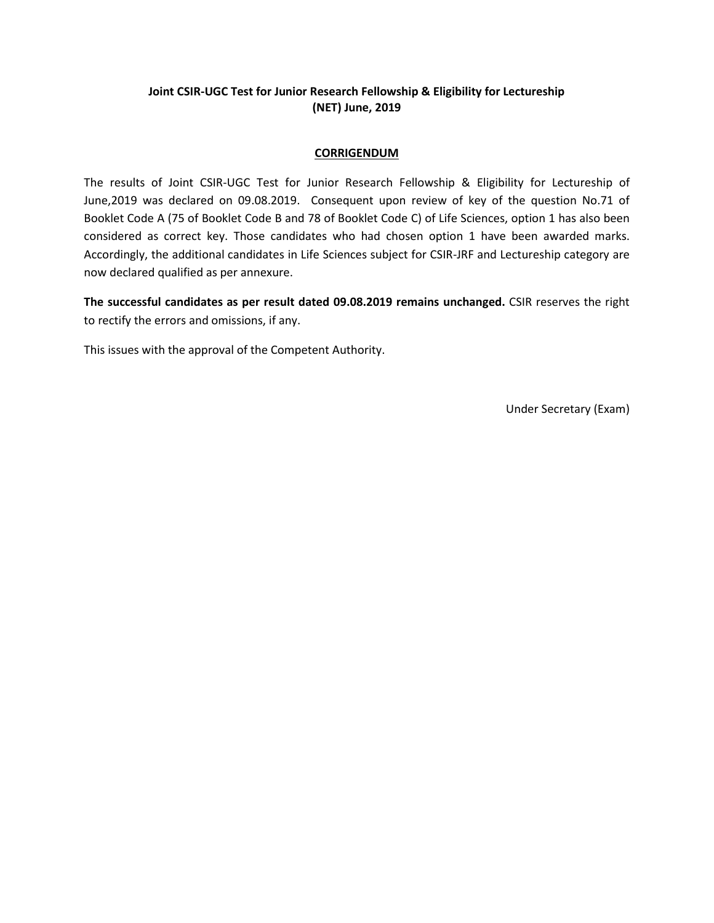# **Joint CSIR-UGC Test for Junior Research Fellowship & Eligibility for Lectureship (NET) June, 2019**

### **CORRIGENDUM**

The results of Joint CSIR-UGC Test for Junior Research Fellowship & Eligibility for Lectureship of June,2019 was declared on 09.08.2019. Consequent upon review of key of the question No.71 of Booklet Code A (75 of Booklet Code B and 78 of Booklet Code C) of Life Sciences, option 1 has also been considered as correct key. Those candidates who had chosen option 1 have been awarded marks. Accordingly, the additional candidates in Life Sciences subject for CSIR-JRF and Lectureship category are now declared qualified as per annexure.

**The successful candidates as per result dated 09.08.2019 remains unchanged.** CSIR reserves the right to rectify the errors and omissions, if any.

This issues with the approval of the Competent Authority.

Under Secretary (Exam)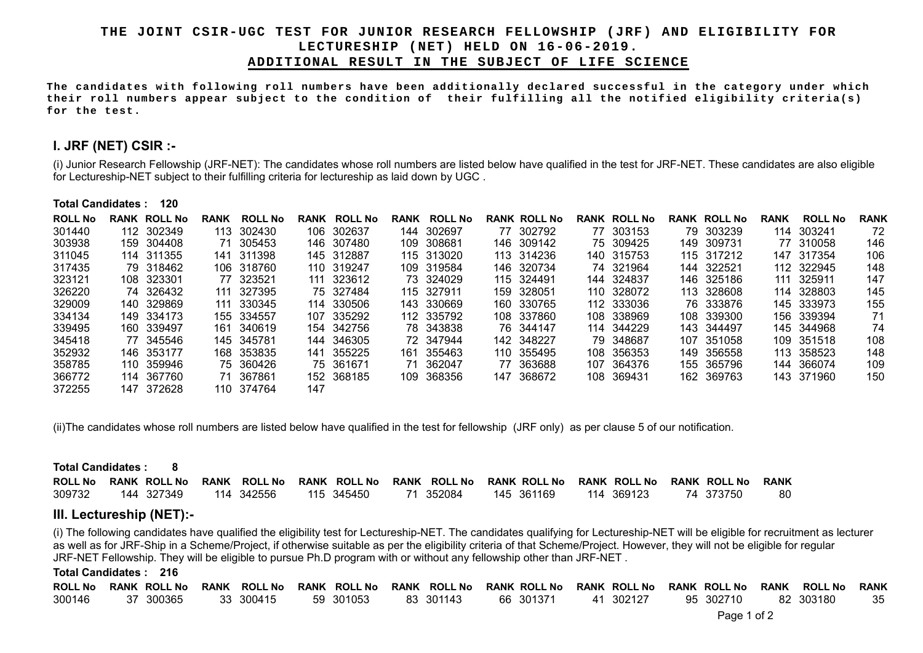### **THE JOINT CSIR-UGC TEST FOR JUNIOR RESEARCH FELLOWSHIP (JRF) AND ELIGIBILITY FOR LECTURESHIP (NET) HELD ON 16-06-2019. ADDITIONAL RESULT IN THE SUBJECT OF LIFE SCIENCE**

**The candidates with following roll numbers have been additionally declared successful in the category under which their roll numbers appear subject to the condition of their fulfilling all the notified eligibility criteria(s) for the test.** 

## **I. JRF (NET) CSIR :-**

(i) Junior Research Fellowship (JRF-NET): The candidates whose roll numbers are listed below have qualified in the test for JRF-NET. These candidates are also eligible for Lectureship-NET subject to their fulfilling criteria for lectureship as laid down by UGC .

#### **Total Candidates : 120**

| <b>ROLL No</b> | <b>RANK</b> | <b>ROLL No</b> | <b>RANK</b> | <b>ROLL No</b> | RANK | <b>ROLL No</b> | <b>RANK</b> | <b>ROLL No</b> | <b>RANK ROLL No</b> |      | <b>RANK ROLL No</b> |     | <b>RANK ROLL No</b> | <b>RANK</b> | <b>ROLL No</b> | <b>RANK</b> |
|----------------|-------------|----------------|-------------|----------------|------|----------------|-------------|----------------|---------------------|------|---------------------|-----|---------------------|-------------|----------------|-------------|
| 301440         |             | 112 302349     | 113         | 302430         |      | 106 302637     | 144         | 302697         | 77 302792           |      | 77 303153           |     | 79 303239           |             | 114 303241     | 72          |
| 303938         |             | 159 304408     | 71          | 305453         | 146. | 307480         | 109         | 308681         | 146 309142          |      | 75 309425           |     | 149 309731          |             | 77 310058      | 146         |
| 311045         |             | 114 311355     |             | 141 311398     |      | 145 312887     |             | 115 313020     | 113 314236          |      | 140 315753          |     | 115 317212          |             | 147 317354     | 106         |
| 317435         |             | 79 318462      |             | 106 318760     |      | 110 319247     |             | 109 319584     | 146 320734          |      | 74 321964           | 144 | 322521              |             | 112 322945     | 148         |
| 323121         |             | 108 323301     |             | 77 323521      |      | 111 323612     |             | 73 324029      | 115 324491          |      | 144 324837          |     | 146 325186          |             | 111 325911     | 147         |
| 326220         |             | 74 326432      | 111         | 327395         |      | 75 327484      |             | 115 327911     | 159 328051          |      | 110 328072          | 113 | 328608              |             | 114 328803     | 145         |
| 329009         |             | 140 329869     |             | 111 330345     |      | 114 330506     |             | 143 330669     | 160 330765          |      | 112 333036          |     | 76 333876           |             | 145 333973     | 155         |
| 334134         |             | 149 334173     |             | 155 334557     |      | 107 335292     |             | 112 335792     | 108 337860          |      | 108 338969          |     | 108 339300          |             | 156 339394     | 71          |
| 339495         |             | 160 339497     |             | 161 340619     |      | 154 342756     |             | 78 343838      | 76 344147           |      | 114 344229          |     | 143 344497          |             | 145 344968     | 74          |
| 345418         |             | 77 345546      |             | 145 345781     | 144  | 346305         |             | 72 347944      | 142 348227          |      | 79 348687           |     | 107 351058          |             | 109 351518     | 108         |
| 352932         |             | 146 353177     |             | 168 353835     | 141  | 355225         | 161.        | 355463         | 110 355495          |      | 108 356353          |     | 149 356558          |             | 113 358523     | 148         |
| 358785         |             | 110 359946     |             | 75 360426      |      | 75 361671      | 71          | 362047         | 77 363688           | 107. | 364376              |     | 155 365796          | 144         | 366074         | 109         |
| 366772         |             | 114 367760     | 71          | 367861         |      | 152 368185     |             | 109 368356     | 147 368672          |      | 108 369431          |     | 162 369763          |             | 143 371960     | 150         |
| 372255         | 147         | 372628         |             | 110 374764     | 147  |                |             |                |                     |      |                     |     |                     |             |                |             |

(ii)The candidates whose roll numbers are listed below have qualified in the test for fellowship (JRF only) as per clause 5 of our notification.

| Total Candidates : 8     |  |                     |  |                     |  |            |  |                                        |  |            |  |                     |  |                     |             |
|--------------------------|--|---------------------|--|---------------------|--|------------|--|----------------------------------------|--|------------|--|---------------------|--|---------------------|-------------|
| <b>ROLL No</b>           |  | <b>RANK ROLL No</b> |  | <b>RANK ROLL No</b> |  |            |  | RANK ROLL No RANK ROLL No RANK ROLL No |  |            |  | <b>RANK ROLL No</b> |  | <b>RANK ROLL No</b> | <b>RANK</b> |
| 309732                   |  | 144 327349          |  | 114 342556          |  | 115 345450 |  | 71 352084                              |  | 145 361169 |  | 114 369123          |  | 74 373750           | 80          |
| III. Lectureship (NET):- |  |                     |  |                     |  |            |  |                                        |  |            |  |                     |  |                     |             |

(i) The following candidates have qualified the eligibility test for Lectureship-NET. The candidates qualifying for Lectureship-NET will be eligible for recruitment as lecturer as well as for JRF-Ship in a Scheme/Project, if otherwise suitable as per the eligibility criteria of that Scheme/Project. However, they will not be eligible for regular JRF-NET Fellowship. They will be eligible to pursue Ph.D program with or without any fellowship other than JRF-NET .

### **Total Candidates : 216**

|  |  |  |  | ROLL No RANK ROLL No RANK ROLL No RANK ROLL No RANK ROLL No RANK ROLL No RANK ROLL No RANK ROLL No RANK ROLL No RANK |  |
|--|--|--|--|----------------------------------------------------------------------------------------------------------------------|--|
|  |  |  |  | 300146   37 300365   33 300415   59 301053   83 301143   66 301371   41 302127   95 302710   82 303180    35         |  |